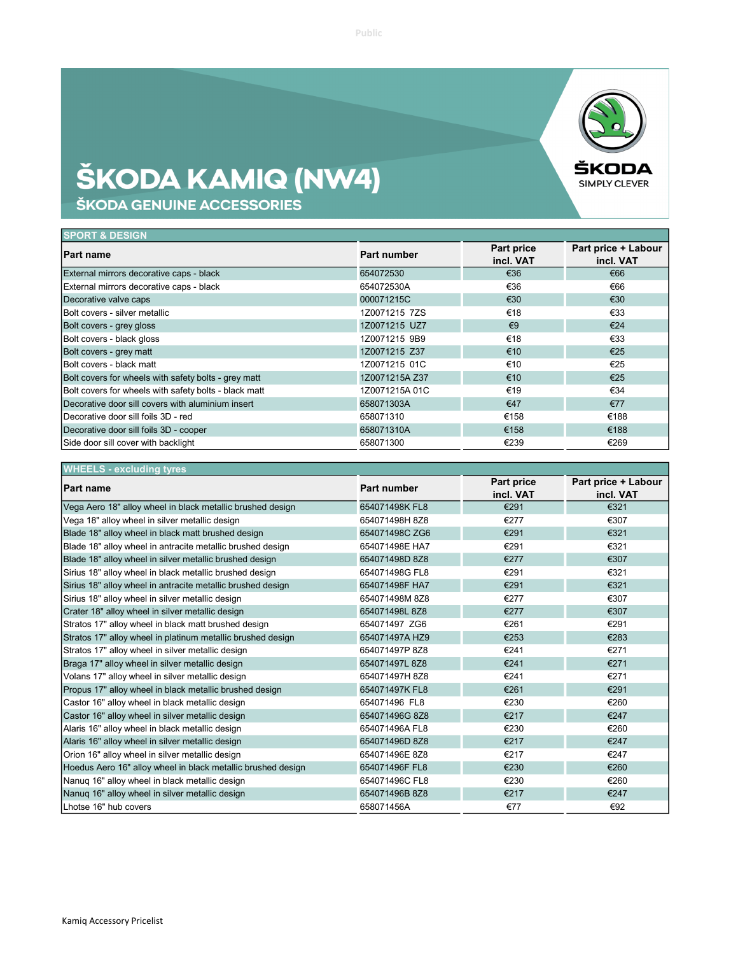## ŠKODA KAMIQ (NW4)

ŠKODA GENUINE ACCESSORIES

| <b>SPORT &amp; DESIGN</b>                             |                |                         |                                  |
|-------------------------------------------------------|----------------|-------------------------|----------------------------------|
| <b>Part name</b>                                      | Part number    | Part price<br>incl. VAT | Part price + Labour<br>incl. VAT |
| External mirrors decorative caps - black              | 654072530      | €36                     | €66                              |
| External mirrors decorative caps - black              | 654072530A     | €36                     | €66                              |
| Decorative valve caps                                 | 000071215C     | €30                     | €30                              |
| Bolt covers - silver metallic                         | 1Z0071215 7ZS  | €18                     | €33                              |
| Bolt covers - grey gloss                              | 1Z0071215 UZ7  | $\epsilon$ 9            | €24                              |
| Bolt covers - black gloss                             | 1Z0071215 9B9  | €18                     | €33                              |
| Bolt covers - grey matt                               | 1Z0071215 Z37  | €10                     | €25                              |
| Bolt covers - black matt                              | 1Z0071215 01C  | €10                     | €25                              |
| Bolt covers for wheels with safety bolts - grey matt  | 1Z0071215A Z37 | €10                     | €25                              |
| Bolt covers for wheels with safety bolts - black matt | 1Z0071215A01C  | €19                     | €34                              |
| Decorative door sill covers with aluminium insert     | 658071303A     | €47                     | €77                              |
| Decorative door sill foils 3D - red                   | 658071310      | €158                    | €188                             |
| Decorative door sill foils 3D - cooper                | 658071310A     | €158                    | €188                             |
| Side door sill cover with backlight                   | 658071300      | €239                    | €269                             |

| <b>WHEELS - excluding tyres</b>                              |                    |                         |                                  |
|--------------------------------------------------------------|--------------------|-------------------------|----------------------------------|
| <b>Part name</b>                                             | <b>Part number</b> | Part price<br>incl. VAT | Part price + Labour<br>incl. VAT |
| Vega Aero 18" alloy wheel in black metallic brushed design   | 654071498K FL8     | €291                    | €321                             |
| Vega 18" alloy wheel in silver metallic design               | 654071498H 8Z8     | €277                    | €307                             |
| Blade 18" alloy wheel in black matt brushed design           | 654071498C ZG6     | €291                    | €321                             |
| Blade 18" alloy wheel in antracite metallic brushed design   | 654071498E HA7     | €291                    | €321                             |
| Blade 18" alloy wheel in silver metallic brushed design      | 654071498D 8Z8     | €277                    | €307                             |
| Sirius 18" alloy wheel in black metallic brushed design      | 654071498G FL8     | €291                    | €321                             |
| Sirius 18" alloy wheel in antracite metallic brushed design  | 654071498F HA7     | €291                    | €321                             |
| Sirius 18" alloy wheel in silver metallic design             | 654071498M 8Z8     | €277                    | €307                             |
| Crater 18" alloy wheel in silver metallic design             | 654071498L8Z8      | €277                    | €307                             |
| Stratos 17" alloy wheel in black matt brushed design         | 654071497 ZG6      | €261                    | €291                             |
| Stratos 17" alloy wheel in platinum metallic brushed design  | 654071497A HZ9     | €253                    | €283                             |
| Stratos 17" alloy wheel in silver metallic design            | 654071497P 8Z8     | €241                    | €271                             |
| Braga 17" alloy wheel in silver metallic design              | 654071497L 8Z8     | €241                    | €271                             |
| Volans 17" alloy wheel in silver metallic design             | 654071497H 8Z8     | €241                    | €271                             |
| Propus 17" alloy wheel in black metallic brushed design      | 654071497K FL8     | €261                    | €291                             |
| Castor 16" alloy wheel in black metallic design              | 654071496 FL8      | €230                    | €260                             |
| Castor 16" alloy wheel in silver metallic design             | 654071496G 8Z8     | €217                    | €247                             |
| Alaris 16" alloy wheel in black metallic design              | 654071496A FL8     | €230                    | €260                             |
| Alaris 16" alloy wheel in silver metallic design             | 654071496D 8Z8     | €217                    | €247                             |
| Orion 16" alloy wheel in silver metallic design              | 654071496E 8Z8     | €217                    | €247                             |
| Hoedus Aero 16" alloy wheel in black metallic brushed design | 654071496F FL8     | €230                    | €260                             |
| Nanug 16" alloy wheel in black metallic design               | 654071496C FL8     | €230                    | €260                             |
| Nanuq 16" alloy wheel in silver metallic design              | 654071496B 8Z8     | €217                    | €247                             |
| Lhotse 16" hub covers                                        | 658071456A         | €77                     | €92                              |

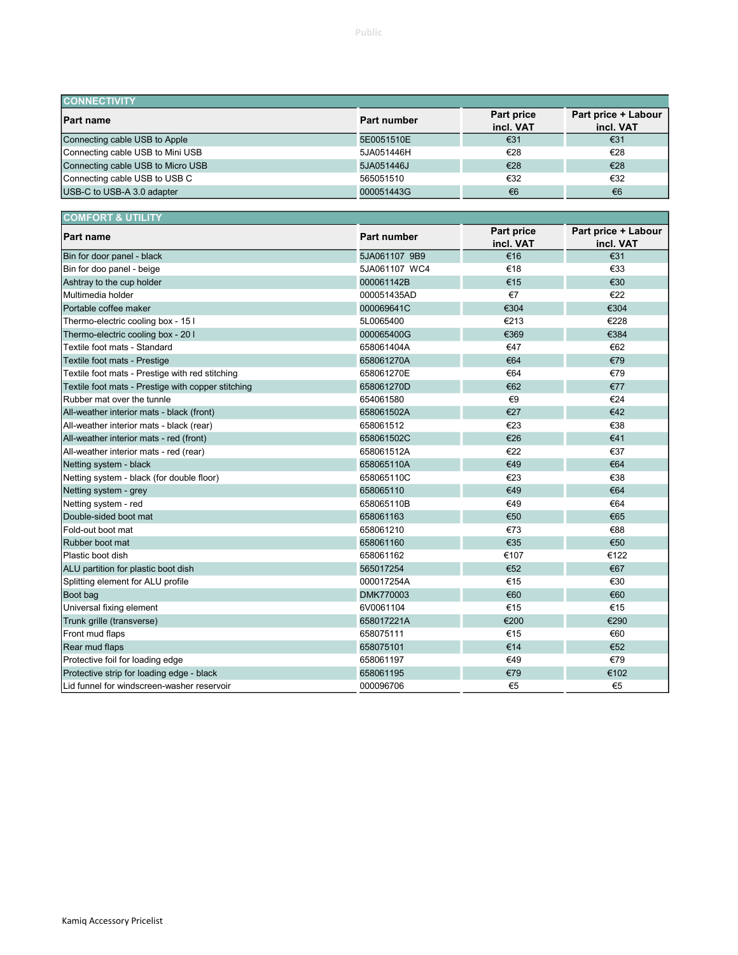| <b>CONNECTIVITY</b>               |             |                         |                                  |
|-----------------------------------|-------------|-------------------------|----------------------------------|
| <b>Part name</b>                  | Part number | Part price<br>incl. VAT | Part price + Labour<br>incl. VAT |
| Connecting cable USB to Apple     | 5E0051510E  | €31                     | €31                              |
| Connecting cable USB to Mini USB  | 5JA051446H  | €28                     | €28                              |
| Connecting cable USB to Micro USB | 5JA051446J  | €28                     | €28                              |
| Connecting cable USB to USB C     | 565051510   | €32                     | €32                              |
| USB-C to USB-A 3.0 adapter        | 000051443G  | €6                      | €6                               |

| <b>COMFORT &amp; UTILITY</b>                       |                    |                         |                                  |
|----------------------------------------------------|--------------------|-------------------------|----------------------------------|
| <b>Part name</b>                                   | <b>Part number</b> | Part price<br>incl. VAT | Part price + Labour<br>incl. VAT |
| Bin for door panel - black                         | 5JA061107 9B9      | €16                     | €31                              |
| Bin for doo panel - beige                          | 5JA061107 WC4      | €18                     | €33                              |
| Ashtray to the cup holder                          | 000061142B         | €15                     | €30                              |
| Multimedia holder                                  | 000051435AD        | €7                      | €22                              |
| Portable coffee maker                              | 000069641C         | €304                    | €304                             |
| Thermo-electric cooling box - 15 I                 | 5L0065400          | €213                    | €228                             |
| Thermo-electric cooling box - 20 I                 | 000065400G         | €369                    | €384                             |
| Textile foot mats - Standard                       | 658061404A         | €47                     | €62                              |
| Textile foot mats - Prestige                       | 658061270A         | €64                     | €79                              |
| Textile foot mats - Prestige with red stitching    | 658061270E         | €64                     | €79                              |
| Textile foot mats - Prestige with copper stitching | 658061270D         | €62                     | €77                              |
| Rubber mat over the tunnle                         | 654061580          | €9                      | €24                              |
| All-weather interior mats - black (front)          | 658061502A         | €27                     | €42                              |
| All-weather interior mats - black (rear)           | 658061512          | €23                     | €38                              |
| All-weather interior mats - red (front)            | 658061502C         | €26                     | €41                              |
| All-weather interior mats - red (rear)             | 658061512A         | €22                     | €37                              |
| Netting system - black                             | 658065110A         | €49                     | €64                              |
| Netting system - black (for double floor)          | 658065110C         | €23                     | €38                              |
| Netting system - grey                              | 658065110          | €49                     | €64                              |
| Netting system - red                               | 658065110B         | €49                     | €64                              |
| Double-sided boot mat                              | 658061163          | €50                     | €65                              |
| Fold-out boot mat                                  | 658061210          | €73                     | €88                              |
| Rubber boot mat                                    | 658061160          | €35                     | €50                              |
| Plastic boot dish                                  | 658061162          | €107                    | €122                             |
| ALU partition for plastic boot dish                | 565017254          | €52                     | €67                              |
| Splitting element for ALU profile                  | 000017254A         | €15                     | €30                              |
| Boot bag                                           | DMK770003          | €60                     | €60                              |
| Universal fixing element                           | 6V0061104          | €15                     | €15                              |
| Trunk grille (transverse)                          | 658017221A         | €200                    | €290                             |
| Front mud flaps                                    | 658075111          | €15                     | €60                              |
| Rear mud flaps                                     | 658075101          | €14                     | €52                              |
| Protective foil for loading edge                   | 658061197          | €49                     | €79                              |
| Protective strip for loading edge - black          | 658061195          | €79                     | €102                             |
| Lid funnel for windscreen-washer reservoir         | 000096706          | €5                      | €5                               |